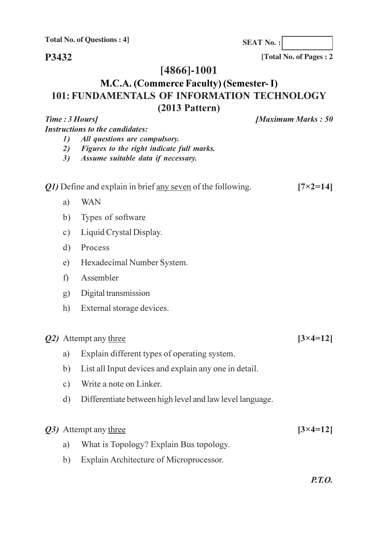P3432

[Total No. of Pages: 2

# $[4866] - 1001$

# M.C.A. (Commerce Faculty) (Semester- I) 101: FUNDAMENTALS OF INFORMATION TECHNOLOGY  $(2013$  Pattern)

| Time : 3 Hours] | <b>[Maximum Marks: 50]</b>                                                                                       |                     |
|-----------------|------------------------------------------------------------------------------------------------------------------|---------------------|
|                 | <b>Instructions to the candidates:</b>                                                                           |                     |
| 1)<br>2)<br>3)  | All questions are compulsory.<br>Figures to the right indicate full marks.<br>Assume suitable data if necessary. |                     |
|                 | <i>Q1</i> ) Define and explain in brief any seven of the following.                                              | $[7\times2=14]$     |
| a)              | <b>WAN</b>                                                                                                       |                     |
| b)              | Types of software                                                                                                |                     |
| $\circ$ )       | Liquid Crystal Display.                                                                                          |                     |
| d)              | Process                                                                                                          |                     |
| e)              | Hexadecimal Number System.                                                                                       |                     |
| f)              | Assembler                                                                                                        |                     |
| g)              | Digital transmission                                                                                             |                     |
| h)              | External storage devices.                                                                                        |                     |
|                 | Q2) Attempt any three                                                                                            | $[3 \times 4 = 12]$ |
| a)              | Explain different types of operating system.                                                                     |                     |
| b)              | List all Input devices and explain any one in detail.                                                            |                     |
| $\circ$ )       | Write a note on Linker.                                                                                          |                     |
|                 | d) Differentiate between high level and law level language.                                                      |                     |
|                 | Q3) Attempt any three                                                                                            | $[3 \times 4 = 12]$ |
| a)              | What is Topology? Explain Bus topology.                                                                          |                     |

b) Explain Architecture of Microprocessor.

**SEAT No.:**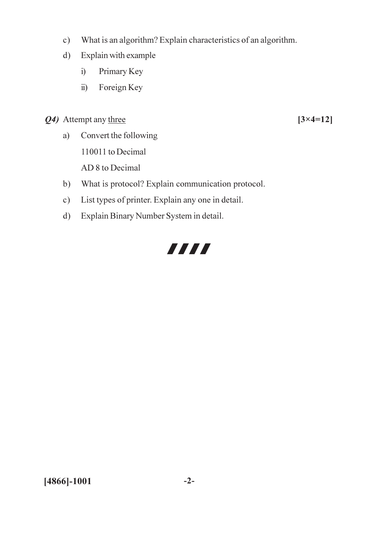- What is an algorithm? Explain characteristics of an algorithm.  $c)$
- Explain with example  $d)$ 
	- Primary Key  $i)$
	- Foreign Key  $\ddot{i}$ )
- Q4) Attempt any three
	- Convert the following  $a)$ 110011 to Decimal

AD 8 to Decimal

- b) What is protocol? Explain communication protocol.
- List types of printer. Explain any one in detail.  $c)$
- Explain Binary Number System in detail.  $d)$

# 7777

 $[3 \times 4 = 12]$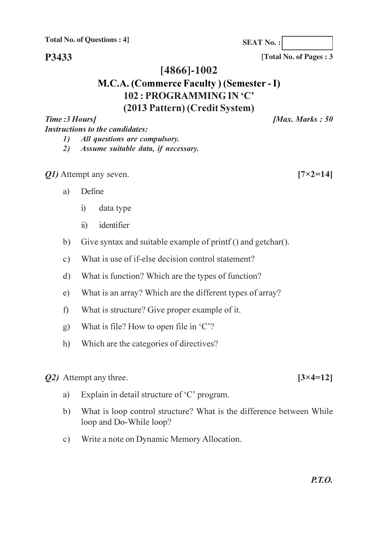P3433

#### $[4866] - 1002$

# M.C.A. (Commerce Faculty) (Semester - I) 102 : PROGRAMMING IN 'C' (2013 Pattern) (Credit System)

Time: 3 Hours] **Instructions to the candidates:** All questions are compulsory.  $\mathcal{D}$ 

- 2) Assume suitable data, if necessary.
- *Q1*) Attempt any seven.
	- Define a)
		- data type  $i)$
		- identifier  $\ddot{u}$
	- Give syntax and suitable example of printf () and getchar().  $b)$
	- What is use of if-else decision control statement?  $c)$
	- What is function? Which are the types of function?  $\mathbf{d}$
	- What is an array? Which are the different types of array?  $e)$
	- What is structure? Give proper example of it.  $f$ )
	- What is file? How to open file in 'C'?  $g$ )
	- Which are the categories of directives?  $h)$
- *Q2*) Attempt any three.
	- Explain in detail structure of 'C' program. a)
	- What is loop control structure? What is the difference between While  $b)$ loop and Do-While loop?
	- Write a note on Dynamic Memory Allocation.  $c)$

[Total No. of Pages: 3]

[Max. Marks: 50]

**SEAT No.:** 

 $[7 \times 2 = 14]$ 

 $[3 \times 4 = 12]$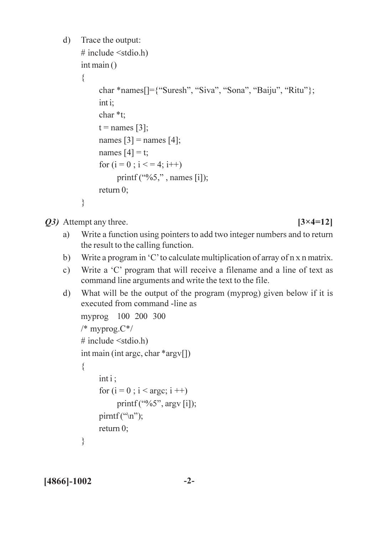```
\mathbf{d})
      Trace the output:
      # include \leqstdio.h)
      int \, \text{main} ()
      \{char *names[]={"Suresh", "Siva", "Sona", "Baiju", "Ritu"};
            int i;
            char *t:
            t = names [3];
            names [3] = names [4];
            names [4] = t;
             for (i = 0; i \leq 4; i++)printf ({}^{\prime\prime\prime}\!\!\delta 5,", names [i]);
            return0:
      \left\{ \right.
```
*O3*) Attempt any three.

 $[3 \times 4 = 12]$ 

- Write a function using pointers to add two integer numbers and to return a) the result to the calling function.
- Write a program in 'C' to calculate multiplication of array of n x n matrix.  $b)$
- Write a 'C' program that will receive a filename and a line of text as  $c)$ command line arguments and write the text to the file.
- $\mathbf{d}$ What will be the output of the program (myprog) given below if it is executed from command -line as

```
myprog 100 200 300
/* myprog.C*/# include \leqstdio.h)
int main (int argc, char *argy[])
\{int i:
      for (i = 0; i < argc; i++)printf ("%5", argy [i]);
      \text{pirmtf}(\text{``}\langle n \text{''}\rangle);
      return0:
\left\{ \right.
```
 $[4866] - 1002$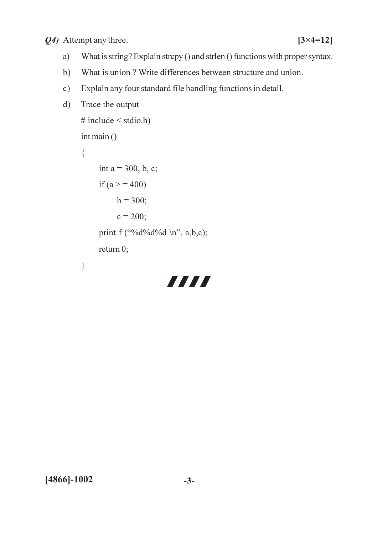Q4) Attempt any three.

- $a)$ What is string? Explain strepy () and strlen () functions with proper syntax.
- What is union? Write differences between structure and union.  $b)$
- Explain any four standard file handling functions in detail.  $c)$
- Trace the output  $\mathbf{d}$

```
# include \leq stdio.h)
int \, \text{main} ()
\{int a = 300, b, c;
     if (a > 400)b = 300;c = 200;print f ("%d%d%d \n", a,b,c);
     return 0;
\}
```
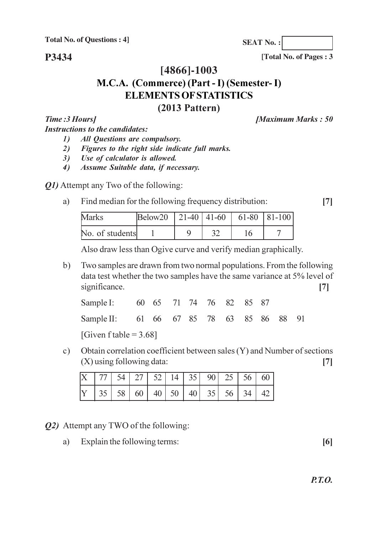P3434

[Total No. of Pages: 3

[Maximum Marks: 50]

**SEAT No.:** 

# [4866]-1003 M.C.A. (Commerce) (Part - I) (Semester- I) **ELEMENTS OF STATISTICS**  $(2013$  Pattern)

Time: 3 Hours] **Instructions to the candidates:** 

- **All Questions are compulsory.**  $\mathbf{D}$
- Figures to the right side indicate full marks. 2)
- Use of calculator is allowed.  $3)$
- Assume Suitable data, if necessary.  $4)$

*O1*) Attempt any Two of the following:

#### Find median for the following frequency distribution: a)

 $[7]$ 

| Marks           | $\text{Below20}$   21-40   41-60   61-80   81-100 |  |  |
|-----------------|---------------------------------------------------|--|--|
| No. of students |                                                   |  |  |

Also draw less than Ogive curve and verify median graphically.

Two samples are drawn from two normal populations. From the following  $b)$ data test whether the two samples have the same variance at 5% level of significance.  $\lceil 7 \rceil$ 

| Sample I: 60 65 71 74 76 82 85 87        |  |  |  |  |  |
|------------------------------------------|--|--|--|--|--|
| Sample II: 61 66 67 85 78 63 85 86 88 91 |  |  |  |  |  |

[Given f table =  $3.68$ ]

Obtain correlation coefficient between sales (Y) and Number of sections  $c)$  $(X)$  using following data:  $\lceil 7 \rceil$ 

|  |  |  |  | $X$   77   54   27   52   14   35   90   25   56   60 |  |
|--|--|--|--|-------------------------------------------------------|--|
|  |  |  |  |                                                       |  |

- *Q2*) Attempt any TWO of the following:
	- Explain the following terms:  $a)$

 $[6]$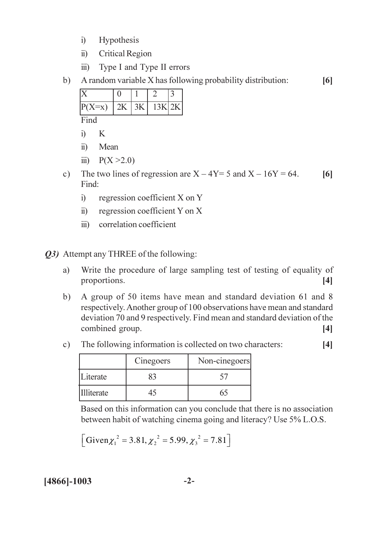- Hypothesis  $i)$
- **Critical Region**  $\ddot{\text{ii}}$
- $\overline{111}$ Type I and Type II errors
- A random variable X has following probability distribution:  $b)$  $[6]$

| $P(X=x)$       |  | $2K$ 3K 13K $2K$ |  |
|----------------|--|------------------|--|
| $\Gamma_{ind}$ |  |                  |  |

Find

- K  $i)$
- Mean  $\ddot{u}$
- iii)  $P(X > 2.0)$
- The two lines of regression are  $X 4Y = 5$  and  $X 16Y = 64$ .  $c)$  $[6]$ Find:
	- $i)$ regression coefficient X on Y
	- regression coefficient Y on X  $\ddot{u}$ )
	- correlation coefficient  $\dddot{\mathbf{u}}$

*Q3*) Attempt any THREE of the following:

- Write the procedure of large sampling test of testing of equality of a) proportions.  $[4]$
- A group of 50 items have mean and standard deviation 61 and 8  $b)$ respectively. Another group of 100 observations have mean and standard deviation 70 and 9 respectively. Find mean and standard deviation of the combined group.  $[4]$
- The following information is collected on two characters:  $c)$  $[4]$

|            | Cinegoers | Non-cinegoers |
|------------|-----------|---------------|
| Literate   |           |               |
| Illiterate |           |               |

Based on this information can you conclude that there is no association between habit of watching cinema going and literacy? Use 5% L.O.S.

$$
[\text{Given} \chi_1^2 = 3.81, {\chi_2}^2 = 5.99, {\chi_3}^2 = 7.81]
$$

#### $[4866] - 1003$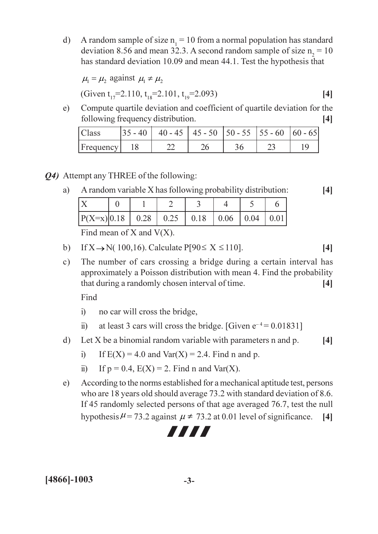A random sample of size  $n_1 = 10$  from a normal population has standard  $\mathbf{d}$ deviation 8.56 and mean 32.3. A second random sample of size  $n_2 = 10$ has standard deviation 10.09 and mean 44.1. Test the hypothesis that

$$
\mu_1 = \mu_2 \text{ against } \mu_1 \neq \mu_2
$$
  
(Given t<sub>17</sub>=2.110, t<sub>18</sub>=2.101, t<sub>19</sub>=2.093) [4]

Compute quartile deviation and coefficient of quartile deviation for the  $e)$ following frequency distribution.  $[4]$ 

| Class     | $ 35 - 40 $ 40 - 45   45 - 50   50 - 55   55 - 60   60 - 65 |  |  |
|-----------|-------------------------------------------------------------|--|--|
| Frequency |                                                             |  |  |

Q4) Attempt any THREE of the following:

| A random variable X has following probability distribution: |  |  |  |  |  |  |  |  |
|-------------------------------------------------------------|--|--|--|--|--|--|--|--|
|                                                             |  |  |  |  |  |  |  |  |
| $ P(X=x) 0.18$   0.28   0.25   0.18   0.06   0.04   0.01    |  |  |  |  |  |  |  |  |

Find mean of X and  $V(X)$ .

- If  $X \rightarrow N(100, 16)$ . Calculate  $P[90 \le X \le 110]$ .  $[4]$  $b)$
- $c)$ The number of cars crossing a bridge during a certain interval has approximately a Poisson distribution with mean 4. Find the probability that during a randomly chosen interval of time.  $[4]$

Find

a)

- $i)$ no car will cross the bridge,
- at least 3 cars will cross the bridge. [Given  $e^{-4} = 0.01831$ ]  $\ddot{i}$
- $\mathbf{d}$ Let  $X$  be a binomial random variable with parameters  $n$  and  $p$ .  $[4]$ 
	- If  $E(X) = 4.0$  and  $Var(X) = 2.4$ . Find n and p.  $i)$
	- If  $p = 0.4$ ,  $E(X) = 2$ . Find n and Var(X).  $\ddot{i}$
- According to the norms established for a mechanical aptitude test, persons  $e)$ who are 18 years old should average 73.2 with standard deviation of 8.6. If 45 randomly selected persons of that age averaged 76.7, test the null hypothesis  $\mu$  = 73.2 against  $\mu$   $\neq$  73.2 at 0.01 level of significance.  $[4]$

# 7777

 $[4]$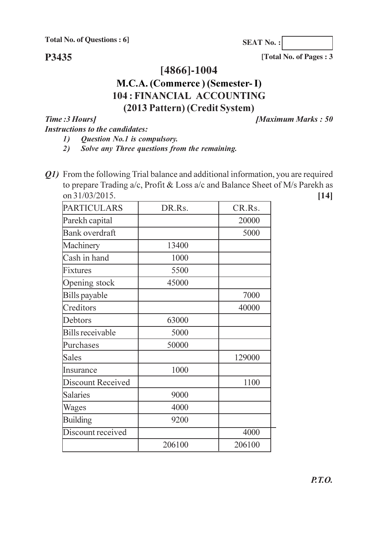P3435

**SEAT No.:** 

[Total No. of Pages: 3

### $[4866] - 1004$

### M.C.A. (Commerce) (Semester-I) **104: FINANCIAL ACCOUNTING** (2013 Pattern) (Credit System)

Time: 3 Hours] **Instructions to the candidates:**  [Maximum Marks: 50]

Question No.1 is compulsory.  $\mathbf{I}$ 

Q1) From the following Trial balance and additional information, you are required to prepare Trading a/c, Profit & Loss a/c and Balance Sheet of M/s Parekh as on 31/03/2015.  $[14]$ 

| <b>PARTICULARS</b>       | DR.Rs. | CR.Rs. |
|--------------------------|--------|--------|
| Parekh capital           |        | 20000  |
| <b>Bank overdraft</b>    |        | 5000   |
| Machinery                | 13400  |        |
| Cash in hand             | 1000   |        |
| Fixtures                 | 5500   |        |
| Opening stock            | 45000  |        |
| Bills payable            |        | 7000   |
| Creditors                |        | 40000  |
| Debtors                  | 63000  |        |
| <b>Bills receivable</b>  | 5000   |        |
| Purchases                | 50000  |        |
| Sales                    |        | 129000 |
| Insurance                | 1000   |        |
| <b>Discount Received</b> |        | 1100   |
| <b>Salaries</b>          | 9000   |        |
| Wages                    | 4000   |        |
| <b>Building</b>          | 9200   |        |
| Discount received        |        | 4000   |
|                          | 206100 | 206100 |

Solve any Three questions from the remaining.  $2)$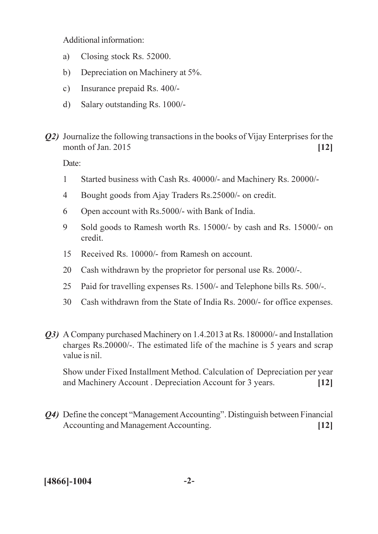Additional information:

- Closing stock Rs. 52000. a)
- $b)$ Depreciation on Machinery at 5%.
- $c)$ Insurance prepaid Rs. 400/-
- Salary outstanding Rs. 1000/- $\mathbf{d}$
- **Q2)** Journalize the following transactions in the books of Vijay Enterprises for the month of Jan. 2015  $[12]$

Date:

- $\mathbf{1}$ Started business with Cash Rs. 40000/- and Machinery Rs. 20000/-
- $\overline{4}$ Bought goods from Ajay Traders Rs.25000/- on credit.
- Open account with Rs.5000/- with Bank of India. 6
- $\overline{Q}$ Sold goods to Ramesh worth Rs. 15000/- by cash and Rs. 15000/- on credit.
- Received Rs. 10000/- from Ramesh on account. 15
- 20 Cash withdrawn by the proprietor for personal use Rs. 2000/-.
- 25 Paid for travelling expenses Rs. 1500/- and Telephone bills Rs. 500/-.
- Cash withdrawn from the State of India Rs. 2000/- for office expenses.  $30<sup>2</sup>$
- *Q3*) A Company purchased Machinery on 1.4.2013 at Rs. 180000/- and Installation charges Rs.20000/-. The estimated life of the machine is 5 years and scrap value is nil.

Show under Fixed Installment Method. Calculation of Depreciation per year and Machinery Account. Depreciation Account for 3 years.  $\lceil 12 \rceil$ 

Q4) Define the concept "Management Accounting". Distinguish between Financial Accounting and Management Accounting.  $[12]$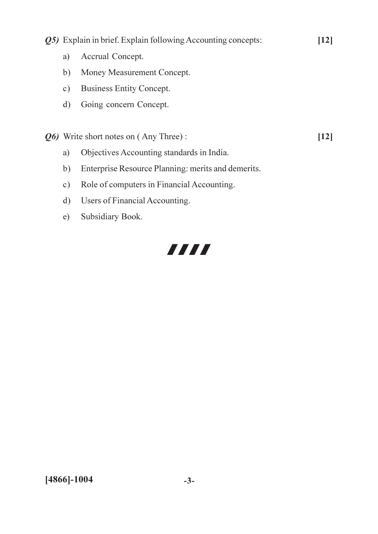Q5) Explain in brief. Explain following Accounting concepts:

 $[12]$ 

 $[12]$ 

- Accrual Concept.  $a)$
- b) Money Measurement Concept.
- c) Business Entity Concept.
- Going concern Concept.  $\mathbf{d}$

Q6) Write short notes on (Any Three):

- Objectives Accounting standards in India. a)
- Enterprise Resource Planning: merits and demerits.  $b)$
- $c)$ Role of computers in Financial Accounting.
- Users of Financial Accounting.  $d)$
- Subsidiary Book.  $e)$

# 7777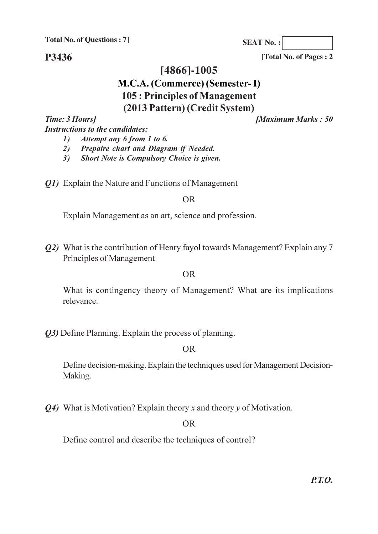P3436

**SEAT No.:** 

[Total No. of Pages: 2

### [4866]-1005

### M.C.A. (Commerce) (Semester-I) 105 : Principles of Management

# (2013 Pattern) (Credit System)

Time: 3 Hours] **Instructions to the candidates:**  **Maximum Marks: 50** 

- Attempt any 6 from 1 to 6.  $\mathbf{D}$
- 2) Prepaire chart and Diagram if Needed.
- Short Note is Compulsory Choice is given.  $3)$
- *O1*) Explain the Nature and Functions of Management

#### $OR$

Explain Management as an art, science and profession.

*Q2*) What is the contribution of Henry fayol towards Management? Explain any 7 Principles of Management

#### **OR**

What is contingency theory of Management? What are its implications relevance.

*O3*) Define Planning. Explain the process of planning.

#### $OR$

Define decision-making. Explain the techniques used for Management Decision-Making.

 $Q_4$ ) What is Motivation? Explain theory x and theory y of Motivation.

 $OR$ 

Define control and describe the techniques of control?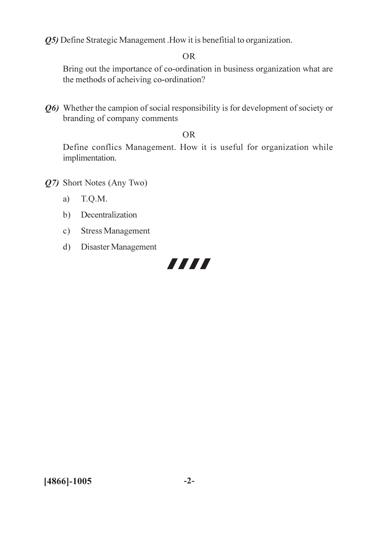Q5) Define Strategic Management .How it is benefitial to organization.

#### $OR$

Bring out the importance of co-ordination in business organization what are the methods of acheiving co-ordination?

Q6) Whether the campion of social responsibility is for development of society or branding of company comments

#### **OR**

Define conflics Management. How it is useful for organization while implimentation.

- Q7) Short Notes (Any Two)
	- a)  $T.Q.M.$
	- b) Decentralization
	- c) Stress Management
	- d) Disaster Management

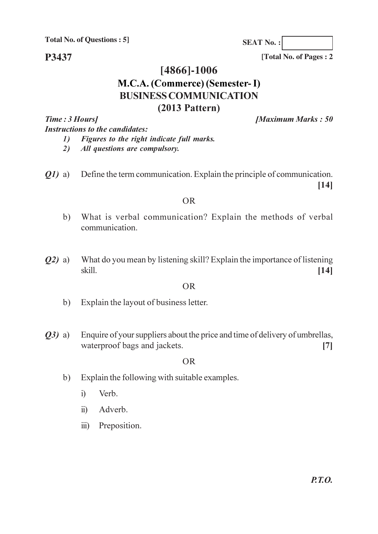P3437

[Total No. of Pages: 2]

**SEAT No.:** 

# $[4866] - 1006$ M.C.A. (Commerce) (Semester-I) **BUSINESS COMMUNICATION**  $(2013$  Pattern)

Time: 3 Hours] **Instructions to the candidates:**  [Maximum Marks: 50]

- Figures to the right indicate full marks.  $\mathbf{I}$
- All questions are compulsory. 2)
- Define the term communication. Explain the principle of communication.  $Q1)$  a)  $[14]$

#### **OR**

- What is verbal communication? Explain the methods of verbal  $b)$ communication.
- What do you mean by listening skill? Explain the importance of listening  $(02)$  a) skill.  $[14]$

#### **OR**

- Explain the layout of business letter.  $b)$
- Enquire of your suppliers about the price and time of delivery of umbrellas,  $O3)$  a) waterproof bags and jackets.  $[7]$

#### **OR**

- Explain the following with suitable examples.  $b)$ 
	- Verb.  $\mathbf{i}$
	- $\ddot{u}$ ) Adverb.
	- iii) Preposition.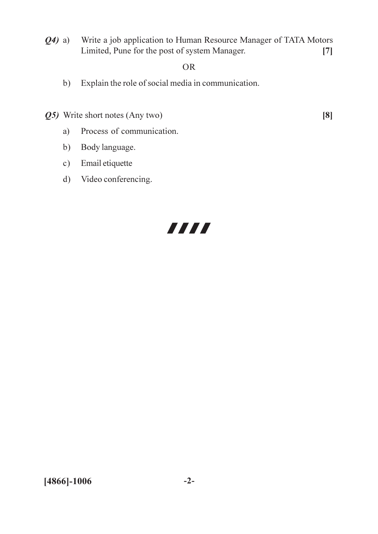Write a job application to Human Resource Manager of TATA Motors  $(24)$  a) Limited, Pune for the post of system Manager.  $[7]$ 

#### $OR$

- b) Explain the role of social media in communication.
- Q5) Write short notes (Any two)

 $[8]$ 

- Process of communication. a)
- Body language.  $b)$
- Email etiquette  $c)$
- d) Video conferencing.

# 7777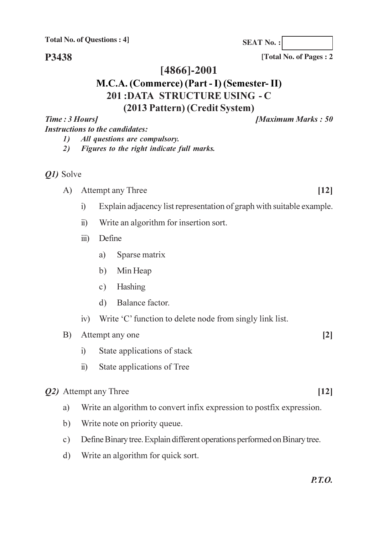P3438

[Total No. of Pages: 2]

**Maximum Marks: 50** 

**SEAT No.:** 

#### [4866]-2001

# M.C.A. (Commerce) (Part - I) (Semester-II) 201:DATA STRUCTURE USING - C (2013 Pattern) (Credit System)

Time: 3 Hours] **Instructions to the candidates:** 

> All questions are compulsory.  $\mathcal{D}$

2) Figures to the right indicate full marks.

#### *Q1*) Solve

- A) Attempt any Three
	- $i)$ Explain adjacency list representation of graph with suitable example.
	- Write an algorithm for insertion sort.  $\ddot{\textbf{i}}$
	- Define  $\dddot{\mathbf{u}}$ 
		- Sparse matrix a)
		- b) Min Heap
		- c) Hashing
		- d) Balance factor.
	- iv) Write 'C' function to delete node from singly link list.

Attempt any one B)

- State applications of stack  $i)$
- State applications of Tree  $\ddot{\text{1}}$

#### *Q2*) Attempt any Three

- Write an algorithm to convert infix expression to postfix expression. a)
- $b)$ Write note on priority queue.
- Define Binary tree. Explain different operations performed on Binary tree.  $c)$
- Write an algorithm for quick sort.  $\mathbf{d}$

 $[12]$ 

 $[2]$ 

- $[12]$
-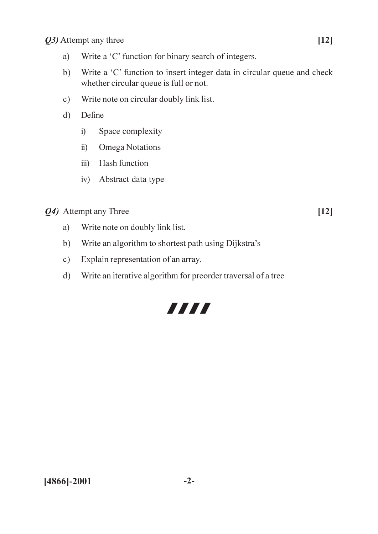Q3) Attempt any three

- Write a 'C' function for binary search of integers. a)
- Write a 'C' function to insert integer data in circular queue and check  $b)$ whether circular queue is full or not.
- Write note on circular doubly link list.  $c)$
- $\mathbf{d}$ Define
	- Space complexity  $i)$
	- **Omega Notations**  $\ddot{u}$
	- iii) Hash function
	- iv) Abstract data type

*O4*) Attempt any Three

 $[12]$ 

- Write note on doubly link list. a)
- Write an algorithm to shortest path using Dijkstra's  $b)$
- Explain representation of an array.  $c)$
- Write an iterative algorithm for preorder traversal of a tree  $\mathbf{d}$

# 7777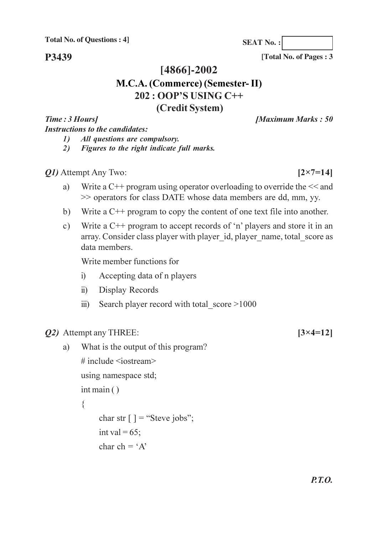P3439

[Total No. of Pages: 3]

**SEAT No.:** 

# $[4866] - 2002$ M.C.A. (Commerce) (Semester-II) 202 : OOP'S USING C++ (Credit System)

Time: 3 Hours] **Instructions to the candidates:**  **IMaximum Marks: 50** 

- $\mathcal{L}$ All questions are compulsory.
- $2)$ Figures to the right indicate full marks.

*Q1*) Attempt Any Two:

 $[2 \times 7 = 14]$ 

 $[3 \times 4 = 12]$ 

- Write a  $C^{++}$  program using operator overloading to override the  $<<$  and a) >> operators for class DATE whose data members are dd, mm, yy.
- Write a  $C_{+}$  program to copy the content of one text file into another.  $b)$
- Write a  $C++$  program to accept records of 'n' players and store it in an  $c)$ array. Consider class player with player id, player name, total score as data members.

Write member functions for

- Accepting data of n players  $i)$
- Display Records  $\ddot{i}$
- Search player record with total score >1000  $\ddot{\mathbf{u}}$
- *Q2*) Attempt any THREE:
	- What is the output of this program? a) # include  $\leq$ iostream> using namespace std;  $int \, \text{main}$  ()  $\{$ char str  $\lceil$  ] = "Steve jobs"; int val =  $65$ : char ch =  $A'$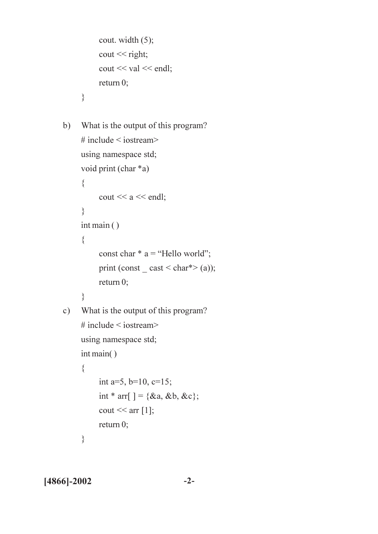```
cout. width (5);
           \text{cout} \ll \text{right};\text{cout} \ll \text{val} \ll \text{endl};return 0;
      \left\{ \right.What is the output of this program?
b)# include \leq iostream>
     using namespace std;
     void print (char *a)
      \{cout << a << endl;
      \mathcal{E}int main()\{const char * a = "Hello world";print (const \text{cast} < \text{char}^* > (a));
           return0;
      \}c) What is the output of this program?
      # include \leq iostream>using namespace std;
     int main()\{int a=5, b=10, c=15;
           int * arr[ ] = {&a, &b, &c};
```
return  $0$ ;

 $\text{cout} \ll \text{arr}[1];$ 

 $\left\{ \right.$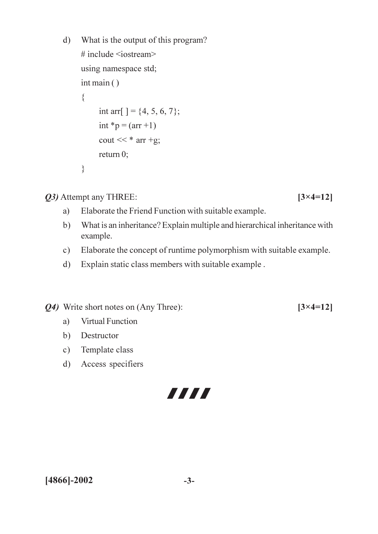```
What is the output of this program?
d)# include <iostream>
     using namespace std;
     int \, \text{main} ()
     \{int arr[] = \{4, 5, 6, 7\};int *p = (arr + 1)\text{cout} \ll^* \text{arr} + \text{g};return 0;
     \}
```
*O3* Attempt any THREE:

- Elaborate the Friend Function with suitable example. a)
- What is an inheritance? Explain multiple and hierarchical inheritance with  $b)$ example.
- Elaborate the concept of runtime polymorphism with suitable example.  $c)$
- Explain static class members with suitable example.  $d)$

Q4) Write short notes on (Any Three):

- a) **Virtual Function**
- b) Destructor
- c) Template class
- d) Access specifiers

7777

 $[3 \times 4 = 12]$ 

 $[3 \times 4 = 12]$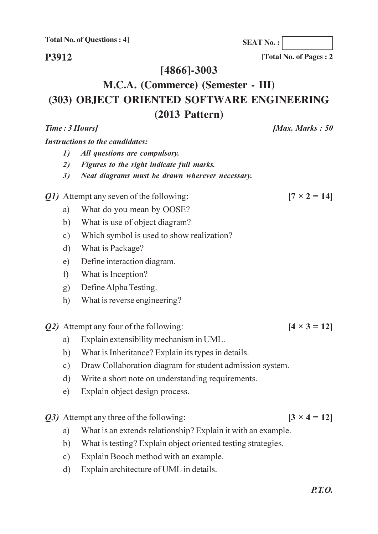P3912

[4866]-3003

# M.C.A. (Commerce) (Semester - III) (303) OBJECT ORIENTED SOFTWARE ENGINEERING  $(2013$  Pattern)

**Instructions to the candidates:** 

Time: 3 Hours]

- $\mathcal{L}$ All questions are compulsory.
- $2)$ Figures to the right indicate full marks.
- $3)$ Neat diagrams must be drawn wherever necessary.

*Q1*) Attempt any seven of the following:

- What do you mean by OOSE? a)
- What is use of object diagram?  $b)$
- Which symbol is used to show realization?  $c)$
- What is Package?  $\mathbf{d}$ )
- Define interaction diagram.  $e)$
- What is Inception?  $f$ )
- Define Alpha Testing.  $g)$
- What is reverse engineering? h)
- Q2) Attempt any four of the following:
	- Explain extensibility mechanism in UML. a)
	- $b)$ What is Inheritance? Explain its types in details.
	- Draw Collaboration diagram for student admission system.  $c)$
	- Write a short note on understanding requirements.  $\mathbf{d}$ )
	- Explain object design process.  $e)$

*Q3*) Attempt any three of the following:

- What is an extends relationship? Explain it with an example. a)
- What is testing? Explain object oriented testing strategies.  $b)$
- Explain Booch method with an example.  $c)$
- Explain architecture of UML in details.  $\mathbf{d}$

[Total No. of Pages: 2]

**SEAT No.:** 

 $[4 \times 3 = 12]$ 

 $[3 \times 4 = 12]$ 

 $[7 \times 2 = 14]$ 

**[Max. Marks: 50**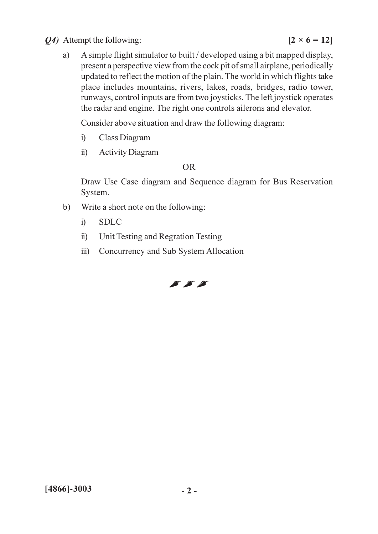#### Q4) Attempt the following:

A simple flight simulator to built / developed using a bit mapped display, a) present a perspective view from the cock pit of small airplane, periodically updated to reflect the motion of the plain. The world in which flights take place includes mountains, rivers, lakes, roads, bridges, radio tower, runways, control inputs are from two joysticks. The left joystick operates the radar and engine. The right one controls ailerons and elevator.

Consider above situation and draw the following diagram:

- $\ddot{1}$ Class Diagram
- $\ddot{1}$ **Activity Diagram**

#### $OR$

Draw Use Case diagram and Sequence diagram for Bus Reservation System.

- $b)$ Write a short note on the following:
	- **SDLC**  $i)$
	- Unit Testing and Regration Testing  $\ddot{\text{1}}$
	- $\dddot{\mathbf{u}}$ Concurrency and Sub System Allocation

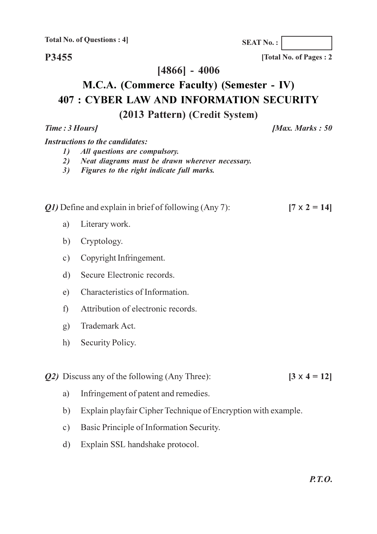P3455

 $[4866] - 4006$ 

# M.C.A. (Commerce Faculty) (Semester - IV) **407 : CYBER LAW AND INFORMATION SECURITY** (2013 Pattern) (Credit System)

**Instructions to the candidates:** 

Time: 3 Hours]

- All questions are compulsory.  $\mathbf{D}$
- 2) Neat diagrams must be drawn wherever necessary.
- 3) Figures to the right indicate full marks.

*O1*) Define and explain in brief of following (Any 7):

- Literary work. a)
- b) Cryptology.
- c) Copyright Infringement.
- Secure Electronic records.  $\mathbf{d}$
- Characteristics of Information  $e)$
- Attribution of electronic records.  $\mathbf{f}$
- $g$ ) Trademark Act.
- $h)$ Security Policy.

*Q2*) Discuss any of the following (Any Three):

- Infringement of patent and remedies. a)
- Explain playfair Cipher Technique of Encryption with example.  $b)$
- Basic Principle of Information Security.  $c)$
- Explain SSL handshake protocol.  $\mathbf{d}$

[Total No. of Pages: 2]

**SEAT No.:** 

 $[7 \times 2 = 14]$ 

 $[3 \times 4 = 12]$ 

 $Max.$  Marks : 50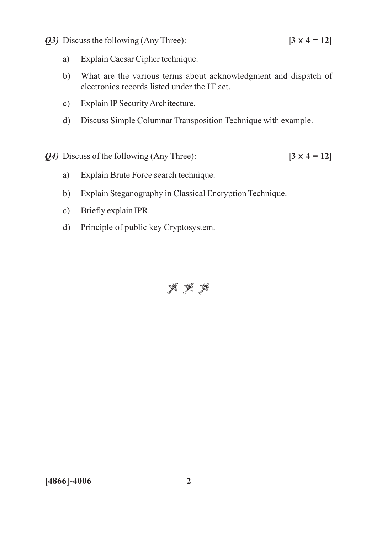Q3) Discuss the following (Any Three):

 $[3 \times 4 = 12]$ 

- Explain Caesar Cipher technique. a)
- What are the various terms about acknowledgment and dispatch of  $b)$ electronics records listed under the IT act.
- Explain IP Security Architecture.  $c)$
- d) Discuss Simple Columnar Transposition Technique with example.
- Q4) Discuss of the following (Any Three):  $[3 \times 4 = 12]$ 
	- Explain Brute Force search technique. a)
	- Explain Steganography in Classical Encryption Technique.  $b)$
	- Briefly explain IPR.  $c)$
	- Principle of public key Cryptosystem.  $d)$



 $[4866] - 4006$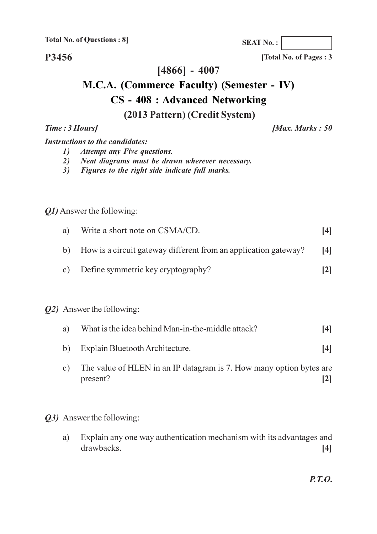P3456

 $[4866] - 4007$ 

# M.C.A. (Commerce Faculty) (Semester - IV) **CS** - 408 : Advanced Networking (2013 Pattern) (Credit System)

**[Max. Marks: 50** 

#### **Instructions to the candidates:**

Time: 3 Hours]

- **Attempt any Five questions.**  $\mathbf{D}$
- Neat diagrams must be drawn wherever necessary. 2)
- 3) Figures to the right side indicate full marks.

#### Q1) Answer the following:

| a) | Write a short note on CSMA/CD.                                     | [4] |
|----|--------------------------------------------------------------------|-----|
|    | b) How is a circuit gateway different from an application gateway? | [4] |
|    | c) Define symmetric key cryptography?                              | 2   |

#### *Q2*) Answer the following:

| a) | What is the idea behind Man-in-the-middle attack? |  |
|----|---------------------------------------------------|--|
|----|---------------------------------------------------|--|

- Explain Bluetooth Architecture.  $b)$  $[4]$
- The value of HLEN in an IP datagram is 7. How many option bytes are  $\mathbf{c})$ present?  $\lceil 2 \rceil$
- Q3) Answer the following:
	- Explain any one way authentication mechanism with its advantages and a) drawbacks.  $[4]$

 $P.T.O.$ 

**SEAT No.:** 

[Total No. of Pages: 3]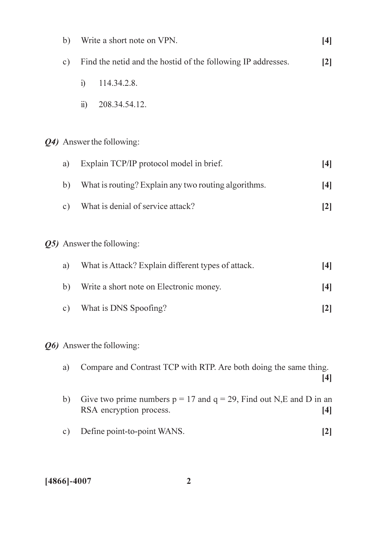| b)            |                                                      | Write a short note on VPN.                                                                         | $[4]$                                                                                                                                                      |  |  |  |  |  |  |  |
|---------------|------------------------------------------------------|----------------------------------------------------------------------------------------------------|------------------------------------------------------------------------------------------------------------------------------------------------------------|--|--|--|--|--|--|--|
| $\circ$ )     |                                                      | Find the netid and the hostid of the following IP addresses.                                       | $[2]$                                                                                                                                                      |  |  |  |  |  |  |  |
|               | $\ddot{1}$                                           | 114.34.2.8.                                                                                        |                                                                                                                                                            |  |  |  |  |  |  |  |
|               | $\ddot{\text{ii}})$                                  | 208.34.54.12.                                                                                      |                                                                                                                                                            |  |  |  |  |  |  |  |
|               |                                                      |                                                                                                    |                                                                                                                                                            |  |  |  |  |  |  |  |
|               |                                                      | Q4) Answer the following:                                                                          |                                                                                                                                                            |  |  |  |  |  |  |  |
| a)            |                                                      | Explain TCP/IP protocol model in brief.<br>$[4]$                                                   |                                                                                                                                                            |  |  |  |  |  |  |  |
| b)            | What is routing? Explain any two routing algorithms. |                                                                                                    |                                                                                                                                                            |  |  |  |  |  |  |  |
| $\circ$ )     |                                                      | What is denial of service attack?                                                                  | [2]                                                                                                                                                        |  |  |  |  |  |  |  |
|               |                                                      |                                                                                                    |                                                                                                                                                            |  |  |  |  |  |  |  |
|               |                                                      | Q5) Answer the following:                                                                          |                                                                                                                                                            |  |  |  |  |  |  |  |
| a)            |                                                      | What is Attack? Explain different types of attack.                                                 | $[4]$                                                                                                                                                      |  |  |  |  |  |  |  |
| b)            |                                                      | Write a short note on Electronic money.                                                            | $[4]$                                                                                                                                                      |  |  |  |  |  |  |  |
| $\mathbf{c})$ |                                                      | What is DNS Spoofing?                                                                              | $[2] % \includegraphics[width=0.9\columnwidth]{figures/fig_1a} \caption{Schematic diagram of the top of the top of the top of the right.} \label{fig:1} %$ |  |  |  |  |  |  |  |
|               |                                                      |                                                                                                    |                                                                                                                                                            |  |  |  |  |  |  |  |
|               |                                                      | Q6) Answer the following:                                                                          |                                                                                                                                                            |  |  |  |  |  |  |  |
| a)            |                                                      | Compare and Contrast TCP with RTP. Are both doing the same thing.                                  |                                                                                                                                                            |  |  |  |  |  |  |  |
|               |                                                      |                                                                                                    | $[4]$                                                                                                                                                      |  |  |  |  |  |  |  |
| b)            |                                                      | Give two prime numbers $p = 17$ and $q = 29$ , Find out N,E and D in an<br>RSA encryption process. | $[4]$                                                                                                                                                      |  |  |  |  |  |  |  |
| $\circ$ )     |                                                      | Define point-to-point WANS.                                                                        | $[2]$                                                                                                                                                      |  |  |  |  |  |  |  |
|               |                                                      |                                                                                                    |                                                                                                                                                            |  |  |  |  |  |  |  |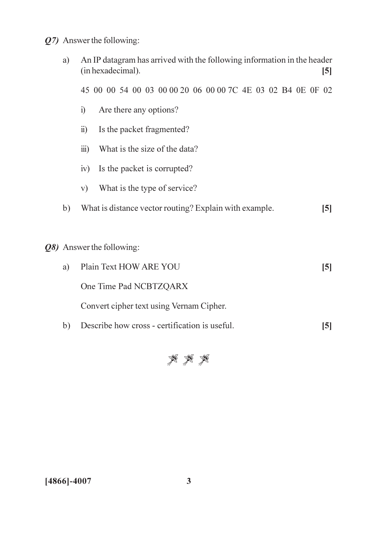Q7) Answer the following:

| a) | An IP datagram has arrived with the following information in the header<br>(in hexadecimal).<br>$[5]$ |       |  |
|----|-------------------------------------------------------------------------------------------------------|-------|--|
|    | 45 00 00 54 00 03 00 00 20 06 00 00 7C 4E 03 02 B4 0E 0F 02                                           |       |  |
|    | Are there any options?<br>i)                                                                          |       |  |
|    | Is the packet fragmented?<br>$\ddot{u}$ )                                                             |       |  |
|    | $\dddot{\mathbf{m}}$ )<br>What is the size of the data?                                               |       |  |
|    | Is the packet is corrupted?<br>iv)                                                                    |       |  |
|    | What is the type of service?<br>V)                                                                    |       |  |
| b) | What is distance vector routing? Explain with example.<br>$\left[5\right]$                            |       |  |
|    |                                                                                                       |       |  |
|    | Q8) Answer the following:                                                                             |       |  |
| a) | Plain Text HOW ARE YOU<br>$\left[5\right]$                                                            |       |  |
|    | One Time Pad NCBTZQARX                                                                                |       |  |
|    | Convert cipher text using Vernam Cipher.                                                              |       |  |
| b) | Describe how cross - certification is useful.                                                         | $[5]$ |  |



 $[4866] - 4007$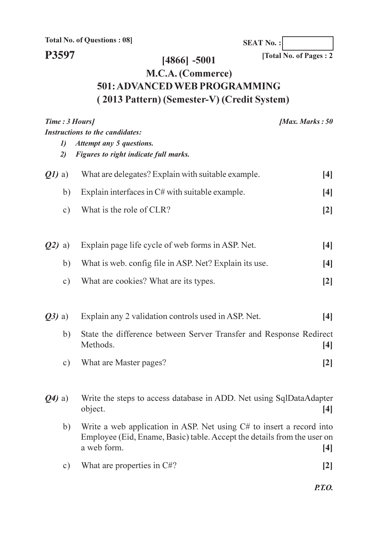**SEAT No.:** 

# P3597

 $[4866] - 5001$ 

 $\boxed{\text{Total No. of Pages : 2}}$ 

# M.C.A. (Commerce) 501: ADVANCED WEB PROGRAMMING (2013 Pattern) (Semester-V) (Credit System)

| Time : 3 Hours/<br><b>Instructions to the candidates:</b> |                           |                                                                                                                                                                  | <i><b>Max. Marks</b></i> : $50$                                                                                                                                     |
|-----------------------------------------------------------|---------------------------|------------------------------------------------------------------------------------------------------------------------------------------------------------------|---------------------------------------------------------------------------------------------------------------------------------------------------------------------|
|                                                           | $\boldsymbol{\eta}$<br>2) | Attempt any 5 questions.<br>Figures to right indicate full marks.                                                                                                |                                                                                                                                                                     |
| $Q1$ a)                                                   |                           | What are delegates? Explain with suitable example.                                                                                                               | $[4]$                                                                                                                                                               |
|                                                           | b)                        | Explain interfaces in $C#$ with suitable example.                                                                                                                | $[4]$                                                                                                                                                               |
|                                                           | $\circ$ )                 | What is the role of CLR?                                                                                                                                         | [2]                                                                                                                                                                 |
| $Q2)$ a)                                                  |                           | Explain page life cycle of web forms in ASP. Net.                                                                                                                | $[4]$                                                                                                                                                               |
|                                                           | b)                        | What is web. config file in ASP. Net? Explain its use.                                                                                                           | $[4]$                                                                                                                                                               |
|                                                           | $\circ$ )                 | What are cookies? What are its types.                                                                                                                            | $[2]$                                                                                                                                                               |
| $(23)$ a)                                                 |                           | Explain any 2 validation controls used in ASP. Net.                                                                                                              | $[4]$                                                                                                                                                               |
|                                                           | b)                        | State the difference between Server Transfer and Response Redirect<br>Methods.                                                                                   | $[4]$                                                                                                                                                               |
|                                                           | $\circ$ )                 | What are Master pages?                                                                                                                                           | $[2]$                                                                                                                                                               |
| $(Q4)$ a)                                                 |                           | Write the steps to access database in ADD. Net using SqlDataAdapter<br>object.                                                                                   | $[4] % \includegraphics[width=0.9\columnwidth]{figures/fig_4} \caption{A graph shows a function of the number of times, in the left and right.} \label{fig:time} %$ |
|                                                           | b)                        | Write a web application in ASP. Net using $C#$ to insert a record into<br>Employee (Eid, Ename, Basic) table. Accept the details from the user on<br>a web form. | $[4]$                                                                                                                                                               |
|                                                           | $\circ$ )                 | What are properties in C#?                                                                                                                                       | $[2]$                                                                                                                                                               |
|                                                           |                           |                                                                                                                                                                  |                                                                                                                                                                     |

 $P.T.O.$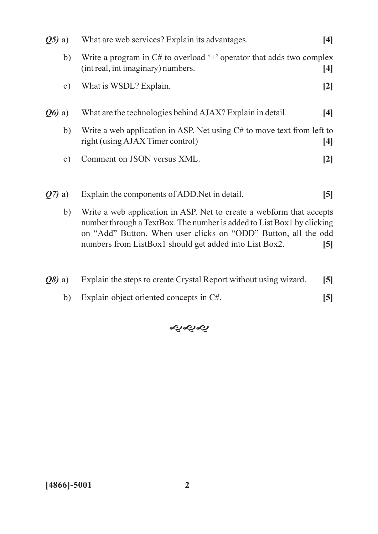| $(05)$ a) |                                                                                                                                                      | What are web services? Explain its advantages.                                                               | [4]          |
|-----------|------------------------------------------------------------------------------------------------------------------------------------------------------|--------------------------------------------------------------------------------------------------------------|--------------|
|           | b)                                                                                                                                                   | Write a program in $C#$ to overload '+' operator that adds two complex<br>(int real, int imaginary) numbers. | $[4]$        |
|           | $\mathbf{c})$                                                                                                                                        | What is WSDL? Explain.                                                                                       | $\mathbf{2}$ |
| $Q_0$ a)  |                                                                                                                                                      | What are the technologies behind AJAX? Explain in detail.                                                    | [4]          |
|           | b)                                                                                                                                                   | Write a web application in ASP. Net using C# to move text from left to<br>right (using AJAX Timer control)   | $[4]$        |
|           | $\mathbf{c})$                                                                                                                                        | Comment on JSON versus XML.                                                                                  | $\mathbf{2}$ |
|           |                                                                                                                                                      |                                                                                                              |              |
| $Q(7)$ a) |                                                                                                                                                      | Explain the components of ADD. Net in detail.                                                                | [5]          |
|           | Write a web application in ASP. Net to create a webform that accepts<br>b)<br>number through a TextRoy. The number is added to List Roy Lby clicking |                                                                                                              |              |

number through a TextBox. The number is added to List Box1 by clicking on "Add" Button. When user clicks on "ODD" Button, all the odd numbers from ListBox1 should get added into List Box2.  $[5]$ 

|  | $(28)$ a) Explain the steps to create Crystal Report without using wizard. | [5] |
|--|----------------------------------------------------------------------------|-----|
|  |                                                                            |     |

b) Explain object oriented concepts in C#.  $[5]$ 

**����**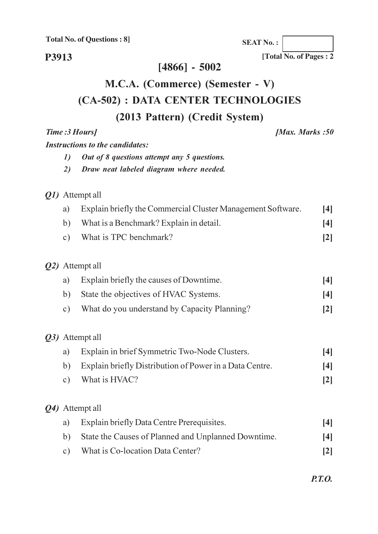**SEAT No.:** 

P3913

#### $[4866] - 5002$

# M.C.A. (Commerce) (Semester - V) (CA-502) : DATA CENTER TECHNOLOGIES (2013 Pattern) (Credit System)

Time: 3 Hours] **Instructions to the candidates:** 

- $\mathbf{D}$ Out of 8 questions attempt any 5 questions.
- 2) Draw neat labeled diagram where needed.

#### *Q1*) Attempt all

- Explain briefly the Commercial Cluster Management Software.  $[4]$ a) What is a Benchmark? Explain in detail.  $b)$  $[4]$
- What is TPC benchmark?  $c)$  $\lceil 2 \rceil$

#### Q2) Attempt all

| a) Explain briefly the causes of Downtime. |  |
|--------------------------------------------|--|
|                                            |  |

- State the objectives of HVAC Systems.  $b)$  $[4]$
- What do you understand by Capacity Planning?  $\lceil 2 \rceil$  $c)$

#### Q3) Attempt all

- Explain in brief Symmetric Two-Node Clusters. a)  $[4]$
- Explain briefly Distribution of Power in a Data Centre.  $b)$  $[4]$
- What is HVAC?  $c)$  $\lceil 2 \rceil$

#### Q4) Attempt all

| a) | Explain briefly Data Centre Prerequisites.             | [4]             |
|----|--------------------------------------------------------|-----------------|
|    | b) State the Causes of Planned and Unplanned Downtime. | [4]             |
|    | c) What is Co-location Data Center?                    | $\vert 2 \vert$ |

**[Max. Marks:50**]

[Total No. of Pages: 2]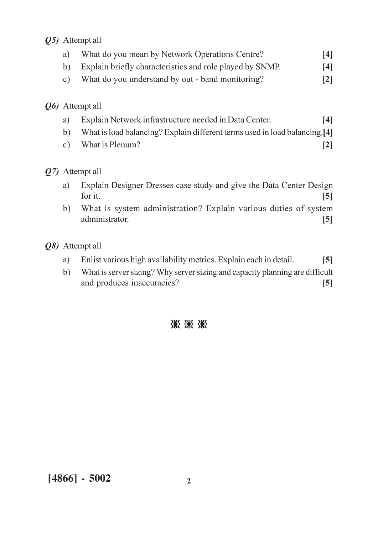#### Q5) Attempt all

| a)              | What do you mean by Network Operations Centre?           | 14 I |
|-----------------|----------------------------------------------------------|------|
| $\mathsf{b}$    | Explain briefly characteristics and role played by SNMP. | 14   |
| C)              | What do you understand by out - band monitoring?         | 2    |
| Q6) Attempt all |                                                          |      |

- Explain Network infrastructure needed in Data Center.  $[4]$ a)
- What is load balancing? Explain different terms used in load balancing.[4]  $b)$
- What is Plenum?  $c)$  $[2]$

#### Q7) Attempt all

- Explain Designer Dresses case study and give the Data Center Design a) for it.  $\overline{5}$
- What is system administration? Explain various duties of system  $b)$ administrator  $\overline{5}$

#### Q8) Attempt all

- Enlist various high availability metrics. Explain each in detail. a)  $\overline{5}$
- What is server sizing? Why server sizing and capacity planning are difficult  $b)$ and produces inaccuracies?  $\left[5\right]$

### ※ ※ ※

 $[4866] - 5002$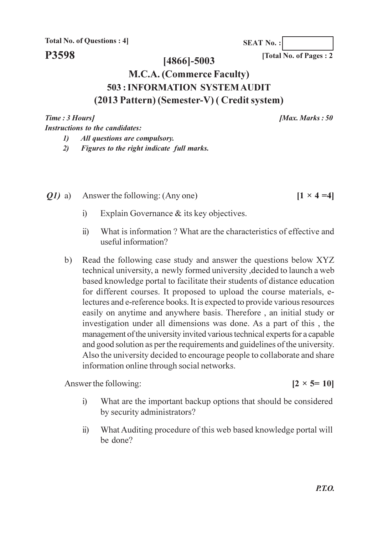**SEAT No.:** 

#### $[4866] - 5003$

[Total No. of Pages: 2

# **M.C.A. (Commerce Faculty)** 503 : INFORMATION SYSTEM AUDIT (2013 Pattern) (Semester-V) (Credit system)

Time: 3 Hours] **Instructions to the candidates:**  [Max. Marks:  $50$ 

 $[1 \times 4 = 4]$ 

- $\boldsymbol{\eta}$ All questions are compulsory.
- Figures to the right indicate full marks.  $2)$
- Answer the following: (Any one)  $Q1)$  a)
	- Explain Governance & its key objectives.  $\mathbf{i}$
	- What is information? What are the characteristics of effective and  $\ddot{u}$ useful information?
	- Read the following case study and answer the questions below XYZ  $b)$ technical university, a newly formed university, decided to launch a web based knowledge portal to facilitate their students of distance education for different courses. It proposed to upload the course materials, electures and e-reference books. It is expected to provide various resources easily on anytime and anywhere basis. Therefore, an initial study or investigation under all dimensions was done. As a part of this, the management of the university invited various technical experts for a capable and good solution as per the requirements and guidelines of the university. Also the university decided to encourage people to collaborate and share information online through social networks.

Answer the following:

 $[2 \times 5 = 10]$ 

- What are the important backup options that should be considered  $\mathbf{i}$ by security administrators?
- What Auditing procedure of this web based knowledge portal will  $\ddot{v}$ be done?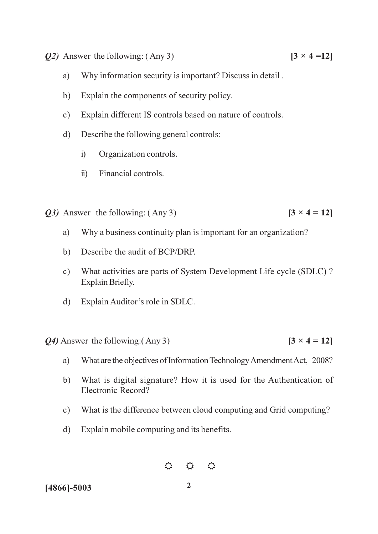- $Q2$ ) Answer the following: (Any 3)
	- Why information security is important? Discuss in detail. a)
	- $b)$ Explain the components of security policy.
	- Explain different IS controls based on nature of controls.  $c)$
	- Describe the following general controls:  $\rm d)$ 
		- Organization controls.  $i)$
		- Financial controls.  $\ddot{\textbf{i}}$
- *O3*) Answer the following: (Any 3)  $[3 \times 4 = 12]$ 
	- Why a business continuity plan is important for an organization? a)
	- Describe the audit of BCP/DRP.  $b)$
	- What activities are parts of System Development Life cycle (SDLC)?  $c)$ Explain Briefly.
	- d) Explain Auditor's role in SDLC.

 $Q_4$ ) Answer the following: (Any 3)

- What are the objectives of Information Technology Amendment Act, 2008? a)
- What is digital signature? How it is used for the Authentication of  $b)$ Electronic Record?
- What is the difference between cloud computing and Grid computing?  $c)$
- Explain mobile computing and its benefits.  $\mathbf{d}$

 $\begin{array}{ccc} \leftrightarrow & \leftrightarrow & \leftrightarrow \end{array}$ 

 $2^{\circ}$ 

 $[4866] - 5003$ 

 $[3 \times 4 = 12]$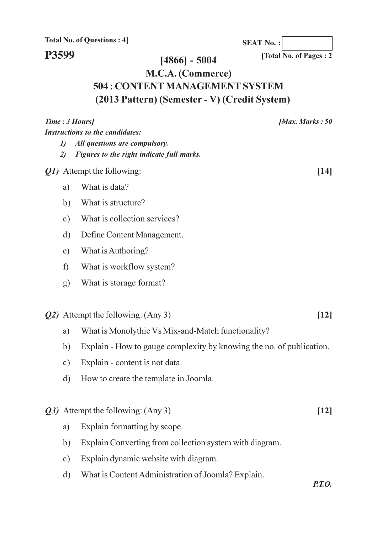P3599

 $[4866] - 5004$ 

M.C.A. (Commerce) 504 : CONTENT MANAGEMENT SYSTEM

# (2013 Pattern) (Semester - V) (Credit System)

| Time: 3 Hours] |                     |                                                                      | [Max. Marks: $50$ |
|----------------|---------------------|----------------------------------------------------------------------|-------------------|
|                |                     | <b>Instructions to the candidates:</b>                               |                   |
|                | $\boldsymbol{\eta}$ | All questions are compulsory.                                        |                   |
|                | 2)                  | Figures to the right indicate full marks.                            |                   |
|                |                     | Q1) Attempt the following:                                           | $[14]$            |
|                | a)                  | What is data?                                                        |                   |
|                | b)                  | What is structure?                                                   |                   |
|                | $\circ$ )           | What is collection services?                                         |                   |
|                | d)                  | Define Content Management.                                           |                   |
|                | e)                  | What is Authoring?                                                   |                   |
|                | f)                  | What is workflow system?                                             |                   |
|                | g)                  | What is storage format?                                              |                   |
|                |                     |                                                                      |                   |
|                |                     | <b>Q2</b> ) Attempt the following: (Any 3)                           | $[12]$            |
|                | a)                  | What is Monolythic Vs Mix-and-Match functionality?                   |                   |
|                | b)                  | Explain - How to gauge complexity by knowing the no. of publication. |                   |
|                | $\circ$ )           | Explain - content is not data.                                       |                   |
|                | d)                  | How to create the template in Joomla.                                |                   |
|                |                     |                                                                      |                   |
|                |                     | Q3) Attempt the following: (Any 3)                                   | $[12]$            |
|                | a)                  | Explain formatting by scope.                                         |                   |
|                | b)                  | Explain Converting from collection system with diagram.              |                   |
|                | c)                  | Explain dynamic website with diagram.                                |                   |
|                | $\mathbf{d}$        | What is Content Administration of Joomla? Explain.                   |                   |
|                |                     |                                                                      | <i>P.T.O.</i>     |

[Total No. of Pages: 2]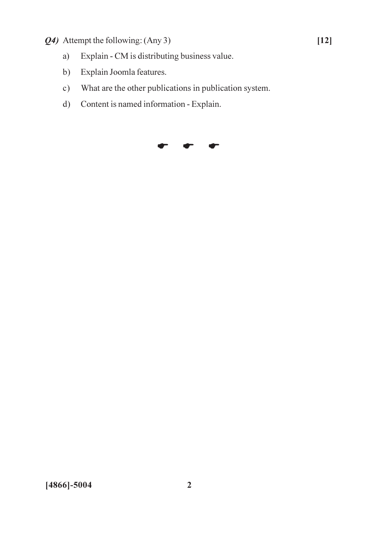- Q4) Attempt the following: (Any 3)
	- Explain CM is distributing business value.  $a)$
	- Explain Joomla features.  $b)$
	- What are the other publications in publication system.  $c)$
	- Content is named information Explain.  $d)$

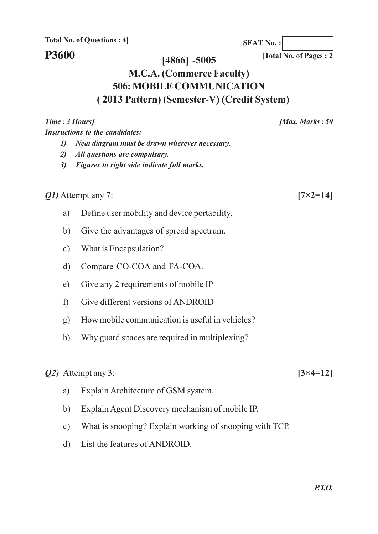**Instructions to the candidates:** 

**P3600** 

Time: 3 Hours]

#### [Total No. of Pages: 2]

**SEAT No.:** 

#### $[4866] - 5005$

# **M.C.A. (Commerce Faculty) 506: MOBILE COMMUNICATION** (2013 Pattern) (Semester-V) (Credit System)

*O1*) Attempt any 7:  $[7 \times 2 = 14]$ Define user mobility and device portability. a)  $b)$ Give the advantages of spread spectrum. What is Encapsulation?  $c)$  $d)$ Compare CO-COA and FA-COA. Give any 2 requirements of mobile IP  $e)$ Give different versions of ANDROID  $\mathcal{L}$ How mobile communication is useful in vehicles?  $\mathbf{g}$ ) Why guard spaces are required in multiplexing?  $h$ )  $[3 \times 4 = 12]$ Explain Architecture of GSM system. a) Explain Agent Discovery mechanism of mobile IP.  $b)$ What is snooping? Explain working of snooping with TCP.  $c)$ 

List the features of ANDROID.  $\mathbf{d}$ 

[Max. Marks: 50]

2) All questions are compulsary.

1) Neat diagram must be drawn wherever necessary.

3) Figures to right side indicate full marks.

 $Q2)$  Attempt any 3: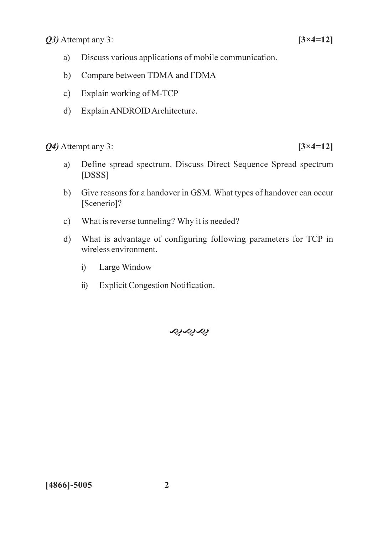*Q3*) Attempt any 3:

- Discuss various applications of mobile communication. a)
- $b)$ Compare between TDMA and FDMA
- Explain working of M-TCP  $c)$
- d) Explain ANDROID Architecture.

Q4) Attempt any 3:

- Define spread spectrum. Discuss Direct Sequence Spread spectrum a)  $[DSSS]$
- Give reasons for a handover in GSM. What types of handover can occur  $b)$ [Scenerio]?
- What is reverse tunneling? Why it is needed?  $c)$
- What is advantage of configuring following parameters for TCP in  $d)$ wireless environment.
	- $i)$ Large Window
	- **Explicit Congestion Notification.**  $\ddot{\textbf{i}}$



 $[4866] - 5005$ 

 $[3 \times 4 = 12]$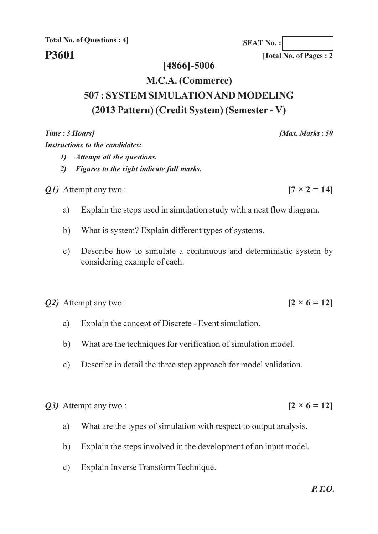### P3601

#### $[4866] - 5006$

# M.C.A. (Commerce) 507 : SYSTEM SIMULATION AND MODELING (2013 Pattern) (Credit System) (Semester - V)

Time: 3 Hours]

**Instructions to the candidates:** 

- 1) Attempt all the questions.
- $2)$ **Example 1** Figures to the right indicate full marks.

*O1*) Attempt any two:

- Explain the steps used in simulation study with a neat flow diagram. a)
- What is system? Explain different types of systems.  $b)$
- Describe how to simulate a continuous and deterministic system by  $c)$ considering example of each.

 $Q2$ ) Attempt any two:

- Explain the concept of Discrete Event simulation. a)
- What are the techniques for verification of simulation model.  $h)$
- Describe in detail the three step approach for model validation.  $c)$

Q3) Attempt any two:

- What are the types of simulation with respect to output analysis. a)
- Explain the steps involved in the development of an input model.  $b)$
- Explain Inverse Transform Technique.  $\mathbf{c})$

**SEAT No.:** 

[Total No. of Pages: 2

[Max. Marks:  $50$ 

 $[2 \times 6 = 12]$ 

 $[2 \times 6 = 12]$ 

 $[7 \times 2 = 14]$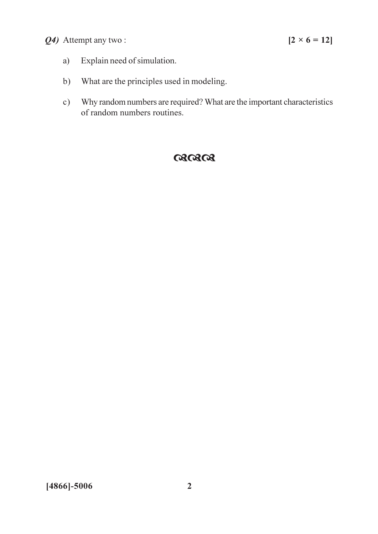### Q4) Attempt any two:

- Explain need of simulation. a)
- What are the principles used in modeling.  $b)$
- Why random numbers are required? What are the important characteristics  $c)$ of random numbers routines.

# $030303$